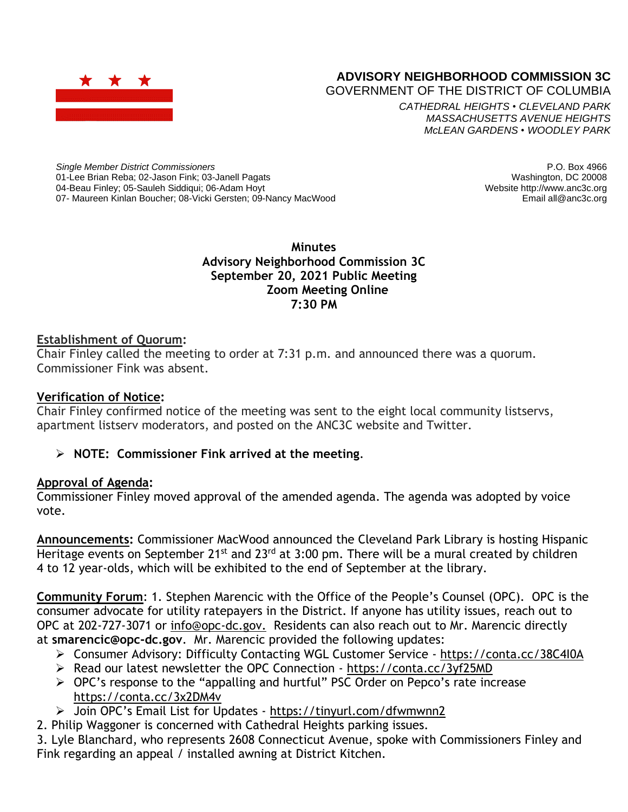

# **ADVISORY NEIGHBORHOOD COMMISSION 3C**

GOVERNMENT OF THE DISTRICT OF COLUMBIA

*CATHEDRAL HEIGHTS* • *CLEVELAND PARK MASSACHUSETTS AVENUE HEIGHTS McLEAN GARDENS* • *WOODLEY PARK*

*Single Member District Commissioners* 01-Lee Brian Reba; 02-Jason Fink; 03-Janell Pagats 04-Beau Finley; 05-Sauleh Siddiqui; 06-Adam Hoyt 07- Maureen Kinlan Boucher; 08-Vicki Gersten; 09-Nancy MacWood

P.O. Box 4966 Washington, DC 20008 Website http://www.anc3c.org Email all@anc3c.org

**Minutes Advisory Neighborhood Commission 3C September 20, 2021 Public Meeting Zoom Meeting Online 7:30 PM**

## **Establishment of Quorum:**

Chair Finley called the meeting to order at 7:31 p.m. and announced there was a quorum. Commissioner Fink was absent.

## **Verification of Notice:**

Chair Finley confirmed notice of the meeting was sent to the eight local community listservs, apartment listserv moderators, and posted on the ANC3C website and Twitter.

## ➢ **NOTE: Commissioner Fink arrived at the meeting**.

#### **Approval of Agenda:**

Commissioner Finley moved approval of the amended agenda. The agenda was adopted by voice vote.

**Announcements:** Commissioner MacWood announced the Cleveland Park Library is hosting Hispanic Heritage events on September 21<sup>st</sup> and 23<sup>rd</sup> at 3:00 pm. There will be a mural created by children 4 to 12 year-olds, which will be exhibited to the end of September at the library.

**Community Forum**: 1. Stephen Marencic with the Office of the People's Counsel (OPC). OPC is the consumer advocate for utility ratepayers in the District. If anyone has utility issues, reach out to OPC at 202-727-3071 or [info@opc-dc.gov.](mailto:info@opc-dc.gov) Residents can also reach out to Mr. Marencic directly at **[smarencic@opc-dc.gov](mailto:smarencic@opc-dc.gov)**. Mr. Marencic provided the following updates:

- ➢ Consumer Advisory: Difficulty Contacting WGL Customer Service <https://conta.cc/38C4I0A>
- ➢ Read our latest newsletter the OPC Connection <https://conta.cc/3yf25MD>
- ➢ OPC's response to the "appalling and hurtful" PSC Order on Pepco's rate increase <https://conta.cc/3x2DM4v>
- ➢ Join OPC's Email List for Updates <https://tinyurl.com/dfwmwnn2>
- 2. Philip Waggoner is concerned with Cathedral Heights parking issues.

3. Lyle Blanchard, who represents 2608 Connecticut Avenue, spoke with Commissioners Finley and Fink regarding an appeal / installed awning at District Kitchen.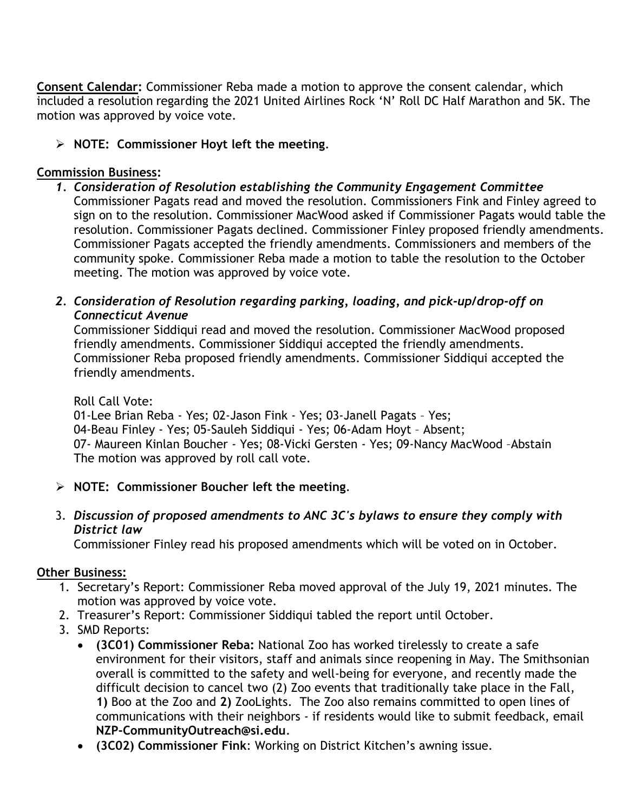**Consent Calendar:** Commissioner Reba made a motion to approve the consent calendar, which included a resolution regarding the 2021 United Airlines Rock 'N' Roll DC Half Marathon and 5K. The motion was approved by voice vote.

➢ **NOTE: Commissioner Hoyt left the meeting**.

# **Commission Business:**

- *1. Consideration of Resolution establishing the Community Engagement Committee* Commissioner Pagats read and moved the resolution. Commissioners Fink and Finley agreed to sign on to the resolution. Commissioner MacWood asked if Commissioner Pagats would table the resolution. Commissioner Pagats declined. Commissioner Finley proposed friendly amendments. Commissioner Pagats accepted the friendly amendments. Commissioners and members of the community spoke. Commissioner Reba made a motion to table the resolution to the October meeting. The motion was approved by voice vote.
- *2. Consideration of Resolution regarding parking, loading, and pick-up/drop-off on Connecticut Avenue*

Commissioner Siddiqui read and moved the resolution. Commissioner MacWood proposed friendly amendments. Commissioner Siddiqui accepted the friendly amendments. Commissioner Reba proposed friendly amendments. Commissioner Siddiqui accepted the friendly amendments.

# Roll Call Vote:

01-Lee Brian Reba - Yes; 02-Jason Fink - Yes; 03-Janell Pagats – Yes; 04-Beau Finley - Yes; 05-Sauleh Siddiqui - Yes; 06-Adam Hoyt – Absent; 07- Maureen Kinlan Boucher - Yes; 08-Vicki Gersten - Yes; 09-Nancy MacWood –Abstain The motion was approved by roll call vote.

- ➢ **NOTE: Commissioner Boucher left the meeting**.
- 3. *Discussion of proposed amendments to ANC 3C's bylaws to ensure they comply with District law*

Commissioner Finley read his proposed amendments which will be voted on in October.

# **Other Business:**

- 1. Secretary's Report: Commissioner Reba moved approval of the July 19, 2021 minutes. The motion was approved by voice vote.
- 2. Treasurer's Report: Commissioner Siddiqui tabled the report until October.
- 3. SMD Reports:
	- **(3C01) Commissioner Reba:** National Zoo has worked tirelessly to create a safe environment for their visitors, staff and animals since reopening in May. The Smithsonian overall is committed to the safety and well-being for everyone, and recently made the difficult decision to cancel two (2) Zoo events that traditionally take place in the Fall, **1)** Boo at the Zoo and **2)** ZooLights. The Zoo also remains committed to open lines of communications with their neighbors - if residents would like to submit feedback, email **NZP-CommunityOutreach@si.edu**.
	- **(3C02) Commissioner Fink**: Working on District Kitchen's awning issue.